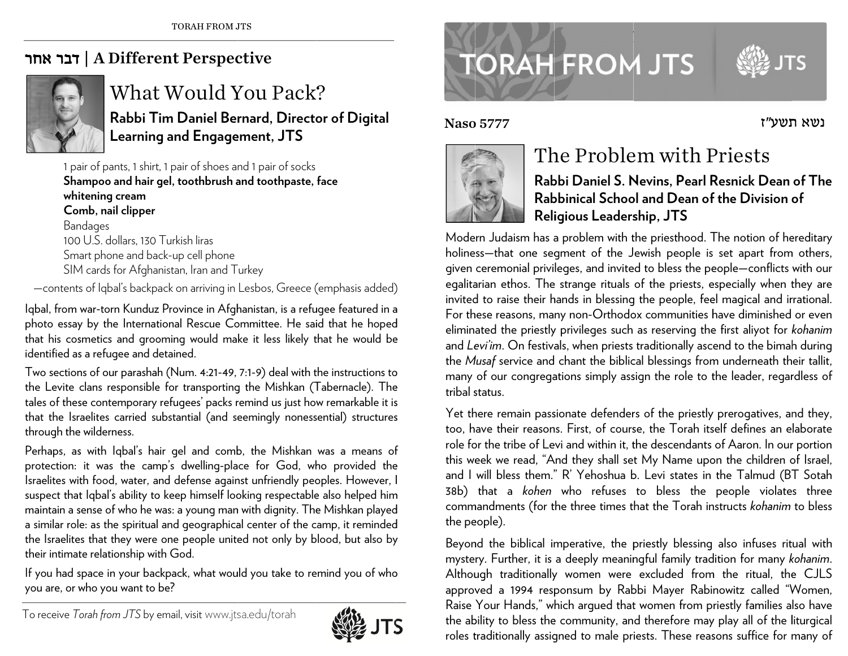## A Different Perspective | דבר אחר



## What Would You Pack? Rabbi Tim Daniel Bernard, Director of Digital **Learning and Engagement, JTS**

1 pair of pants, 1 shirt, 1 pair of shoes and 1 pair of socks Shampoo and hair gel, toothbrush and toothpaste, face whitening cream Comb, nail clipper Bandages 100 U.S. dollars, 130 Turkish liras Smart phone and back-up cell phone SIM cards for Afghanistan, Iran and Turkey

-contents of Iqbal's backpack on arriving in Lesbos, Greece (emphasis added)

Igbal, from war-torn Kunduz Province in Afghanistan, is a refugee featured in a photo essay by the International Rescue Committee. He said that he hoped that his cosmetics and grooming would make it less likely that he would be identified as a refugee and detained.

Two sections of our parashah (Num. 4:21-49, 7:1-9) deal with the instructions to the Levite clans responsible for transporting the Mishkan (Tabernacle). The tales of these contemporary refugees' packs remind us just how remarkable it is that the Israelites carried substantial (and seemingly nonessential) structures through the wilderness.

Perhaps, as with Igbal's hair gel and comb, the Mishkan was a means of protection: it was the camp's dwelling-place for God, who provided the Israelites with food, water, and defense against unfriendly peoples. However, I suspect that Igbal's ability to keep himself looking respectable also helped him maintain a sense of who he was: a young man with dignity. The Mishkan played a similar role: as the spiritual and geographical center of the camp, it reminded the Israelites that they were one people united not only by blood, but also by their intimate relationship with God.

If you had space in your backpack, what would you take to remind you of who you are, or who you want to be?



## **TORAH FROM JTS**



נשא חשט״ז

**Naso 5777** 



## The Problem with Priests

Rabbi Daniel S. Nevins, Pearl Resnick Dean of The Rabbinical School and Dean of the Division of Religious Leadership, JTS

Modern Judaism has a problem with the priesthood. The notion of hereditary holiness-that one segment of the Jewish people is set apart from others, given ceremonial privileges, and invited to bless the people-conflicts with our egalitarian ethos. The strange rituals of the priests, especially when they are invited to raise their hands in blessing the people, feel magical and irrational. For these reasons, many non-Orthodox communities have diminished or even eliminated the priestly privileges such as reserving the first aliyot for kohanim and Levi'im. On festivals, when priests traditionally ascend to the bimah during the Musaf service and chant the biblical blessings from underneath their tallit, many of our congregations simply assign the role to the leader, regardless of tribal status.

Yet there remain passionate defenders of the priestly prerogatives, and they, too, have their reasons. First, of course, the Torah itself defines an elaborate role for the tribe of Levi and within it, the descendants of Aaron. In our portion this week we read, "And they shall set My Name upon the children of Israel, and I will bless them." R' Yehoshua b. Levi states in the Talmud (BT Sotah 38b) that a kohen who refuses to bless the people violates three commandments (for the three times that the Torah instructs kohanim to bless the people).

Beyond the biblical imperative, the priestly blessing also infuses ritual with mystery. Further, it is a deeply meaningful family tradition for many kohanim. Although traditionally women were excluded from the ritual, the CJLS approved a 1994 responsum by Rabbi Mayer Rabinowitz called "Women, Raise Your Hands," which arqued that women from priestly families also have the ability to bless the community, and therefore may play all of the liturgical roles traditionally assigned to male priests. These reasons suffice for many of